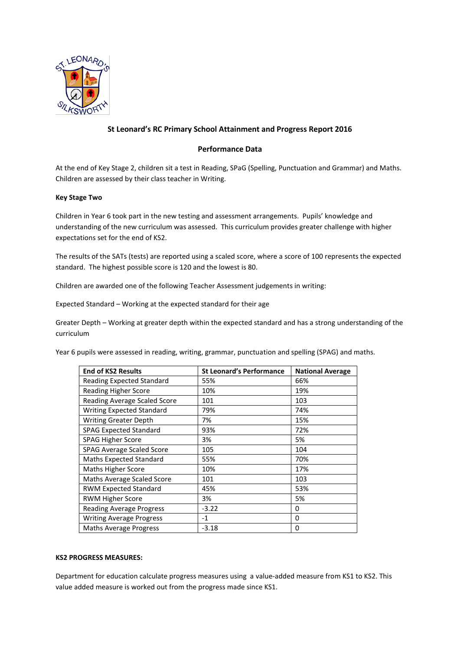

# **St Leonard's RC Primary School Attainment and Progress Report 2016**

## **Performance Data**

At the end of Key Stage 2, children sit a test in Reading, SPaG (Spelling, Punctuation and Grammar) and Maths. Children are assessed by their class teacher in Writing.

### **Key Stage Two**

Children in Year 6 took part in the new testing and assessment arrangements. Pupils' knowledge and understanding of the new curriculum was assessed. This curriculum provides greater challenge with higher expectations set for the end of KS2.

The results of the SATs (tests) are reported using a scaled score, where a score of 100 represents the expected standard. The highest possible score is 120 and the lowest is 80.

Children are awarded one of the following Teacher Assessment judgements in writing:

Expected Standard – Working at the expected standard for their age

Greater Depth – Working at greater depth within the expected standard and has a strong understanding of the curriculum

Year 6 pupils were assessed in reading, writing, grammar, punctuation and spelling (SPAG) and maths.

| <b>End of KS2 Results</b>        | <b>St Leonard's Performance</b> | <b>National Average</b> |
|----------------------------------|---------------------------------|-------------------------|
| <b>Reading Expected Standard</b> | 55%                             | 66%                     |
| Reading Higher Score             | 10%                             | 19%                     |
| Reading Average Scaled Score     | 101                             | 103                     |
| <b>Writing Expected Standard</b> | 79%                             | 74%                     |
| <b>Writing Greater Depth</b>     | 7%                              | 15%                     |
| <b>SPAG Expected Standard</b>    | 93%                             | 72%                     |
| <b>SPAG Higher Score</b>         | 3%                              | 5%                      |
| <b>SPAG Average Scaled Score</b> | 105                             | 104                     |
| <b>Maths Expected Standard</b>   | 55%                             | 70%                     |
| <b>Maths Higher Score</b>        | 10%                             | 17%                     |
| Maths Average Scaled Score       | 101                             | 103                     |
| <b>RWM Expected Standard</b>     | 45%                             | 53%                     |
| <b>RWM Higher Score</b>          | 3%                              | 5%                      |
| <b>Reading Average Progress</b>  | $-3.22$                         | 0                       |
| <b>Writing Average Progress</b>  | $-1$                            | 0                       |
| <b>Maths Average Progress</b>    | $-3.18$                         | 0                       |

### **KS2 PROGRESS MEASURES:**

Department for education calculate progress measures using a value-added measure from KS1 to KS2. This value added measure is worked out from the progress made since KS1.